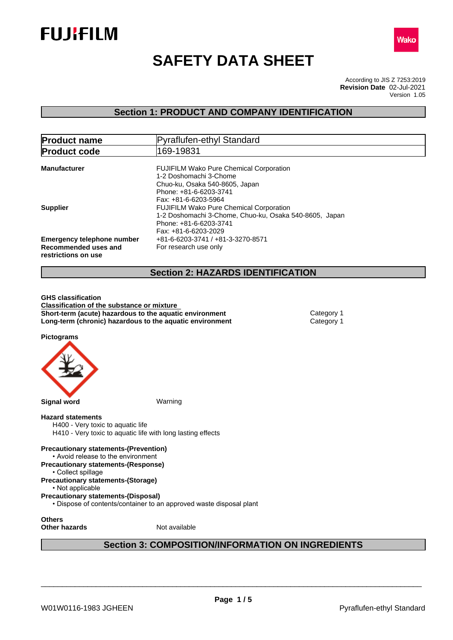



# **SAFETY DATA SHEET**

According to JIS Z 7253:2019 Version 1.05 **Revision Date** 02-Jul-2021

### **Section 1: PRODUCT AND COMPANY IDENTIFICATION**

| <b>Product name</b>                                                              | Pyraflufen-ethyl Standard                                                                                                                                    |
|----------------------------------------------------------------------------------|--------------------------------------------------------------------------------------------------------------------------------------------------------------|
| <b>Product code</b>                                                              | 169-19831                                                                                                                                                    |
| <b>Manufacturer</b>                                                              | <b>FUJIFILM Wako Pure Chemical Corporation</b><br>1-2 Doshomachi 3-Chome<br>Chuo-ku, Osaka 540-8605, Japan<br>Phone: +81-6-6203-3741<br>Fax: +81-6-6203-5964 |
| <b>Supplier</b>                                                                  | <b>FUJIFILM Wako Pure Chemical Corporation</b><br>1-2 Doshomachi 3-Chome, Chuo-ku, Osaka 540-8605, Japan<br>Phone: +81-6-6203-3741<br>Fax: +81-6-6203-2029   |
| <b>Emergency telephone number</b><br>Recommended uses and<br>restrictions on use | +81-6-6203-3741 / +81-3-3270-8571<br>For research use only                                                                                                   |
|                                                                                  | <b>Section 2: HAZARDS IDENTIFICATION</b>                                                                                                                     |

# **GHS classification Classification of the substance or mixture**

**Short-term (acute) hazardous to the aquatic environment** Category 1 **Long-term (chronic) hazardous to the aquatic environment** Category 1

**Pictograms**



### **Hazard statements**

H400 - Very toxic to aquatic life H410 - Very toxic to aquatic life with long lasting effects

**Precautionary statements-(Prevention)** • Avoid release to the environment

**Precautionary statements-(Response)**

• Collect spillage **Precautionary statements-(Storage)**

• Not applicable

**Precautionary statements-(Disposal)**

• Dispose of contents/container to an approved waste disposal plant

**Others**

**Other hazards** Not available

## **Section 3: COMPOSITION/INFORMATION ON INGREDIENTS**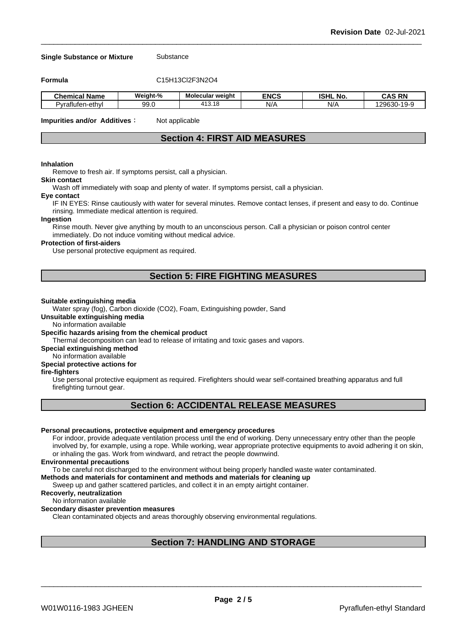#### **Single Substance or Mixture** Substance

**Formula** C15H13Cl2F3N2O4

| <b>Chemical</b><br>.<br>Name | Weiaht-%         | * weiaht<br>Molecular             | <b>ENCS</b> | <b>ISHL No.</b> | <b>RN</b><br>~^c<br>м.                         |
|------------------------------|------------------|-----------------------------------|-------------|-----------------|------------------------------------------------|
| Pvraflufen-ethvl             | 99. <sub>0</sub> | 11 <sup>7</sup><br>.18<br>. 4 ا ب | N/          | NI/<br>N.       | .<br>0.0000<br>-21<br>. JUF<br>$\cdot$ $\cdot$ |

**Impurities and/or Additives**: Not applicable

### **Section 4: FIRST AID MEASURES**

#### **Inhalation**

Remove to fresh air. If symptoms persist, call a physician.

#### **Skin contact**

Wash off immediately with soap and plenty of water. If symptoms persist, calla physician.

#### **Eye contact**

IF IN EYES: Rinse cautiously with water for several minutes. Remove contact lenses, if present and easy to do. Continue rinsing. Immediate medical attention is required.

#### **Ingestion**

Rinse mouth. Never give anything by mouth to an unconscious person. Call a physician or poison control center immediately. Do not induce vomiting without medical advice.

#### **Protection of first-aiders**

Use personal protective equipment as required.

### **Section 5: FIRE FIGHTING MEASURES**

#### **Suitable extinguishing media**

Water spray (fog), Carbon dioxide (CO2), Foam, Extinguishing powder, Sand

**Unsuitable extinguishing media**

No information available

#### **Specific hazards arising from the chemical product**

Thermal decomposition can lead to release of irritating and toxic gases and vapors.

**Special extinguishing method**

#### No information available

### **Special protective actions for**

#### **fire-fighters**

Use personal protective equipment as required.Firefighters should wear self-contained breathing apparatus and full firefighting turnout gear.

### **Section 6: ACCIDENTAL RELEASE MEASURES**

#### **Personal precautions, protective equipment and emergency procedures**

For indoor, provide adequate ventilation process until the end of working. Deny unnecessary entry other than the people involved by, for example, using a rope. While working, wear appropriate protective equipments to avoid adhering it on skin, or inhaling the gas. Work from windward, and retract the people downwind.

#### **Environmental precautions**

To be careful not discharged to the environment without being properly handled waste water contaminated.

#### **Methods and materials for contaminent and methods and materials for cleaning up**

Sweep up and gather scattered particles, and collect it in an empty airtight container.

#### **Recoverly, neutralization**

#### No information available

#### **Secondary disaster prevention measures**

Clean contaminated objects and areas thoroughly observing environmental regulations.

### **Section 7: HANDLING AND STORAGE**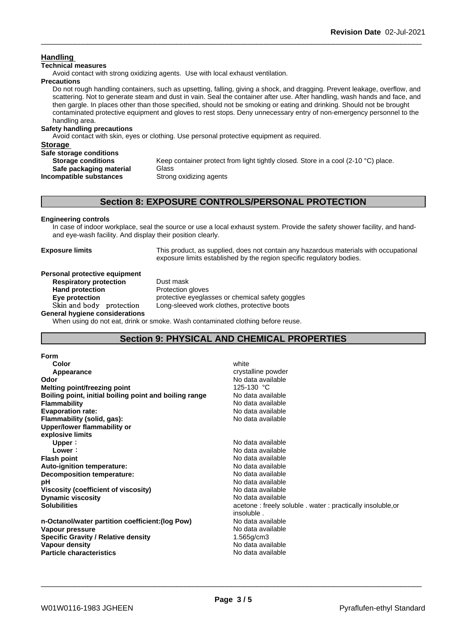### **Handling**

#### **Technical measures**

Avoid contact with strong oxidizing agents. Use with local exhaust ventilation.

#### **Precautions**

Do not rough handling containers, such as upsetting, falling, giving a shock, and dragging. Prevent leakage, overflow, and scattering. Not to generate steam and dust in vain. Seal the container after use. After handling, wash hands and face, and then gargle. In places other than those specified, should not be smoking or eating and drinking. Should not be brought contaminated protective equipment and gloves to rest stops. Deny unnecessary entry of non-emergency personnel to the handling area.

### **Safety handling precautions**

Avoid contact with skin, eyes or clothing. Use personal protective equipment as required.

### **Storage Safe storage conditions Storage conditions** Keep container protect from light tightly closed. Store in a cool (2-10 °C) place. **Safe packaging material Glass Incompatible substances** Strong oxidizing agents

### **Section 8: EXPOSURE CONTROLS/PERSONAL PROTECTION**

#### **Engineering controls**

In case of indoor workplace, seal the source or use a local exhaust system. Provide the safety shower facility, and handand eye-wash facility. And display their position clearly.

**Exposure limits** This product, as supplied, does not contain any hazardous materials with occupational exposure limits established by the region specific regulatory bodies.

#### **Personal protective equipment**<br>**Respiratory protection** Dust mask **Respiratory** protection

**Hand protection** Protection gloves **Eye protection** protective eyeglasses or chemical safety goggles<br>Skin and body protection Long-sleeved work clothes, protective boots Long-sleeved work clothes, protective boots

**General hygiene considerations**

When using do not eat, drink or smoke. Wash contaminated clothing before reuse.

### **Section 9: PHYSICAL AND CHEMICAL PROPERTIES**

| <b>Form</b>                                            |                                                            |
|--------------------------------------------------------|------------------------------------------------------------|
| Color                                                  | white                                                      |
| Appearance                                             | crystalline powder                                         |
| Odor                                                   | No data available                                          |
| Melting point/freezing point                           | 125-130 °C                                                 |
| Boiling point, initial boiling point and boiling range | No data available                                          |
| <b>Flammability</b>                                    | No data available                                          |
| <b>Evaporation rate:</b>                               | No data available                                          |
| Flammability (solid, gas):                             | No data available                                          |
| Upper/lower flammability or                            |                                                            |
| explosive limits                                       |                                                            |
| Upper:                                                 | No data available                                          |
| Lower:                                                 | No data available                                          |
| <b>Flash point</b>                                     | No data available                                          |
| Auto-ignition temperature:                             | No data available                                          |
| Decomposition temperature:                             | No data available                                          |
| рH                                                     | No data available                                          |
| Viscosity (coefficient of viscosity)                   | No data available                                          |
| <b>Dynamic viscosity</b>                               | No data available                                          |
| <b>Solubilities</b>                                    | acetone: freely soluble . water: practically insoluble, or |
|                                                        | insoluble.                                                 |
| n-Octanol/water partition coefficient: (log Pow)       | No data available                                          |
| Vapour pressure                                        | No data available                                          |
| <b>Specific Gravity / Relative density</b>             | $1.565$ g/cm $3$                                           |
| Vapour density                                         | No data available                                          |
| <b>Particle characteristics</b>                        | No data available                                          |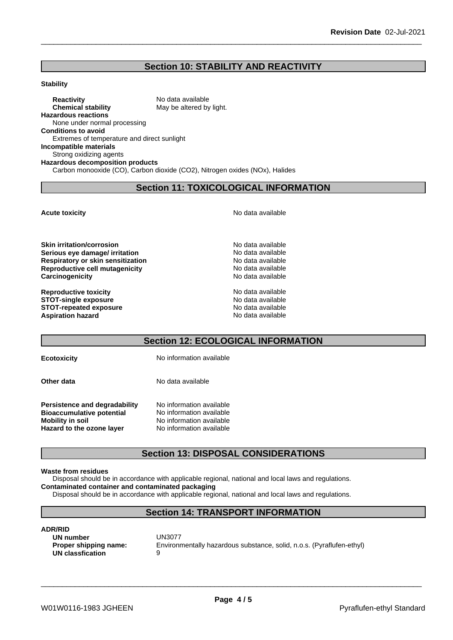### **Section 10: STABILITY AND REACTIVITY**

#### **Stability**

**Reactivity** No data available<br> **Chemical stability** May be altered by May be altered by light. **Hazardous reactions** None under normal processing **Conditions to avoid** Extremes of temperature and direct sunlight **Incompatible materials** Strong oxidizing agents **Hazardous decomposition products** Carbon monooxide (CO), Carbon dioxide (CO2), Nitrogen oxides (NOx), Halides

### **Section 11: TOXICOLOGICAL INFORMATION**

**Acute toxicity Acute toxicity Acute has available No data available** 

**Skin irritation/corrosion**<br> **Serious eve damage/ irritation**<br> **Serious eve damage/ irritation Serious eye damage/ irritation**<br> **Respiratory or skin sensitization**<br> **Respiratory or skin sensitization Respiratory or skin sensitization Reproductive cell mutagenicity** No data available **Carcinogenicity** No data available

**Reproductive toxicity** No data available **STOT-single exposure** No data available **STOT-repeated exposure** No data available **Aspiration hazard No data available No data available No data available** 

### **Section 12: ECOLOGICAL INFORMATION**

**Ecotoxicity** No information available

**Other data** No data available

**Persistence and degradability** No information available<br>**Bioaccumulative potential** No information available **Bioaccumulative potential Mobility** in soil **Mobility** in soil **No information available Hazard to the ozone layer** No information available

### **Section 13: DISPOSAL CONSIDERATIONS**

#### **Waste from residues**

Disposal should be in accordance with applicable regional, national and local laws and regulations. **Contaminated container and contaminated packaging**

Disposal should be in accordance with applicable regional, national and local laws and regulations.

## **Section 14: TRANSPORT INFORMATION**

### **ADR/RID**

**UN number** UN3077 **UN classfication** 9

**Proper shipping name:** Environmentally hazardous substance, solid, n.o.s. (Pyraflufen-ethyl)